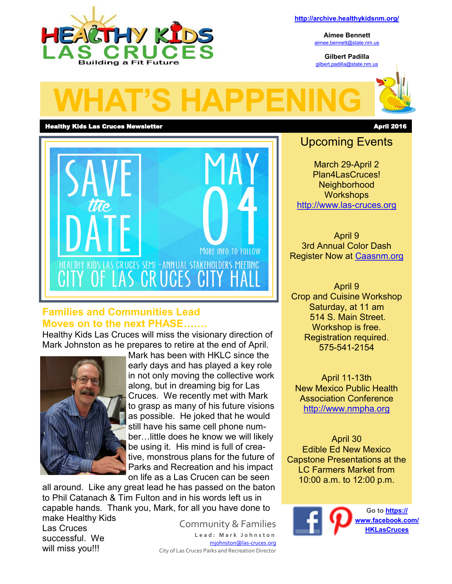

**Aimee Bennett** [aimee.bennett@state.nm.us](mailto:aimee.bennett@state.nm.us)

**Gilbert Padilla** [gilbert.padilla@state.nm.us](mailto:gilbert.padilla@state.nm.us)



### Healthy Kids Las Cruces Newsletter April 2016



### **Families and Communities Lead Moves on to the next PHASE…….**

Healthy Kids Las Cruces will miss the visionary direction of Mark Johnston as he prepares to retire at the end of April.



Mark has been with HKLC since the early days and has played a key role in not only moving the collective work along, but in dreaming big for Las Cruces. We recently met with Mark to grasp as many of his future visions as possible. He joked that he would still have his same cell phone number…little does he know we will likely be using it. His mind is full of creative, monstrous plans for the future of Parks and Recreation and his impact on life as a Las Crucen can be seen

all around. Like any great lead he has passed on the baton to Phil Catanach & Tim Fulton and in his words left us in capable hands. Thank you, Mark, for all you have done to make Healthy Kids

Las Cruces successful. We will miss you!!!

Community & Families **L e a d : M a r k J o h n s t o n** [mjohnston@las](mailto:mjohnston@las-cruces.org)-cruces.org City of Las Cruces Parks and Recreation Director

## Upcoming Events

March 29-April 2 Plan4LasCruces! Neighborhood **Workshops** [http://www.las](http://www.las-cruces.org)-cruces.org

April 9 3rd Annual Color Dash Register Now at [Caasnm.org](http://caasnm.org/)

April 9 Crop and Cuisine Workshop Saturday, at 11 am 514 S. Main Street. Workshop is free. Registration required. 575-541-2154

April 11-13th New Mexico Public Health Association Conference [http://www.nmpha.org](http://www.nmpha.org/)

April 30 Edible Ed New Mexico Capstone Presentations at the LC Farmers Market from 10:00 a.m. to 12:00 p.m.

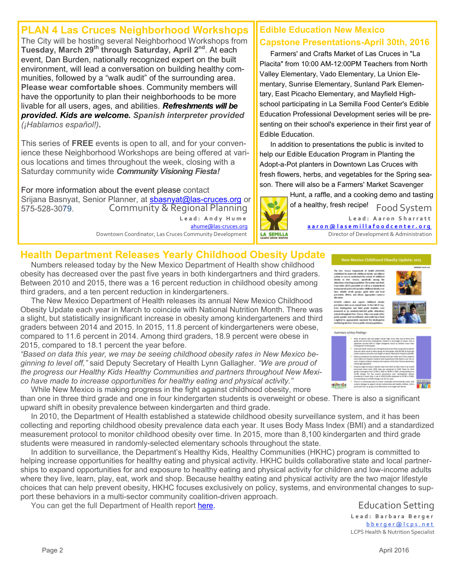# **PLAN 4 Las Cruces Neighborhood Workshops**

The City will be hosting several Neighborhood Workshops from **Tuesday, March 29th through Saturday, April 2nd** . At each event, Dan Burden, nationally recognized expert on the built environment, will lead a conversation on building healthy communities, followed by a "walk audit" of the surrounding area. **Please wear comfortable shoes**. Community members will have the opportunity to plan their neighborhoods to be more livable for all users, ages, and abilities. *Refreshments will be provided. Kids are welcome. Spanish interpreter provided (¡Hablamos español!).*

This series of **FREE** events is open to all, and for your convenience these Neighborhood Workshops are being offered at various locations and times throughout the week, closing with a Saturday community wide *Community Visioning Fiesta!* 

Community & Regional Planning **L e a d : A n d y H u m e** [ahume@las](mailto:ahume@las-cruces.org)-cruces.org For more information about the event please contact Srijana Basnyat, Senior Planner, at [sbasnyat@las](mailto:sbasnyat@las-cruces.org)-cruces.org or 575-528-3079.

Downtown Coordinator, Las Cruces Community Development

## **Edible Education New Mexico Capstone Presentations-April 30th, 2016**

Farmers' and Crafts Market of Las Cruces in "La Placita" from 10:00 AM-12:00PM Teachers from North Valley Elementary, Vado Elementary, La Union Elementary, Sunrise Elementary, Sunland Park Elementary, East Picacho Elementary, and Mayfield Highschool participating in La Semilla Food Center's Edible Education Professional Development series will be presenting on their school's experience in their first year of Edible Education.

In addition to presentations the public is invited to help our Edible Education Program in Planting the Adopt-a-Pot planters in Downtown Las Cruces with fresh flowers, herbs, and vegetables for the Spring season. There will also be a Farmers' Market Scavenger



Food System **L e a d : A a r o n S h a r r a t t [a a r o n @ l a s e m i l l a f o o d c e n t e r . o r g](mailto:aaron@lasemillafoodcenter.org)** Director of Development & Administration Hunt, a raffle, and a cooking demo and tasting of a healthy, fresh recipe!

# **Health Department Releases Yearly Childhood Obesity Update**

Numbers released today by the New Mexico Department of Health show childhood obesity has decreased over the past five years in both kindergartners and third graders. Between 2010 and 2015, there was a 16 percent reduction in childhood obesity among third graders, and a ten percent reduction in kindergarteners.

The New Mexico Department of Health releases its annual New Mexico Childhood Obesity Update each year in March to coincide with National Nutrition Month. There was a slight, but statistically insignificant increase in obesity among kindergarteners and third graders between 2014 and 2015. In 2015, 11.8 percent of kindergarteners were obese, compared to 11.6 percent in 2014. Among third graders, 18.9 percent were obese in 2015, compared to 18.1 percent the year before.

*"Based on data this year, we may be seeing childhood obesity rates in New Mexico beginning to level off,"* said Deputy Secretary of Health Lynn Gallagher. *"We are proud of* 









.<br>New Mexico Childhood Obesity Update: 2015



*the progress our Healthy Kids Healthy Communities and partners throughout New Mexico have made to increase opportunities for healthy eating and physical activity."* **Kadavidas** While New Mexico is making progress in the fight against childhood obesity, more

than one in three third grade and one in four kindergarten students is overweight or obese. There is also a significant upward shift in obesity prevalence between kindergarten and third grade.

In 2010, the Department of Health established a statewide childhood obesity surveillance system, and it has been collecting and reporting childhood obesity prevalence data each year. It uses Body Mass Index (BMI) and a standardized measurement protocol to monitor childhood obesity over time. In 2015, more than 8,100 kindergarten and third grade students were measured in randomly-selected elementary schools throughout the state.

In addition to surveillance, the Department's Healthy Kids, Healthy Communities (HKHC) program is committed to helping increase opportunities for healthy eating and physical activity. HKHC builds collaborative state and local partnerships to expand opportunities for and exposure to healthy eating and physical activity for children and low-income adults where they live, learn, play, eat, work and shop. Because healthy eating and physical activity are the two major lifestyle choices that can help prevent obesity, HKHC focuses exclusively on policy, systems, and environmental changes to support these behaviors in a multi-sector community coalition-driven approach.

You can get the full Department of Health report here.

Education Setting **L e a d : B a r b a r a B e r g e r** b b e r q e r @ l c p s . n e t LCPS Health & Nutrition Specialist